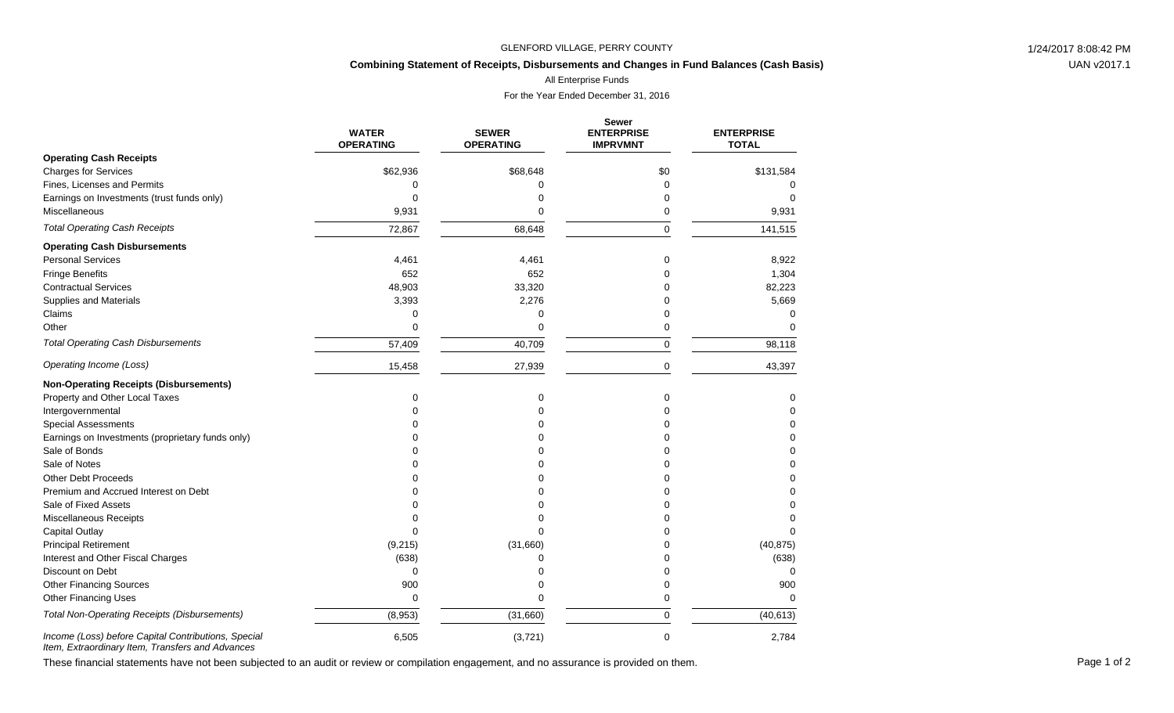#### GLENFORD VILLAGE, PERRY COUNTY **1/24/2017 8:08:42 PM**

# **Combining Statement of Receipts, Disbursements and Changes in Fund Balances (Cash Basis)**

All Enterprise Funds

For the Year Ended December 31, 2016

|                                                                                                         | <b>WATER</b><br><b>OPERATING</b> | <b>SEWER</b><br><b>OPERATING</b> | <b>Sewer</b><br><b>ENTERPRISE</b><br><b>IMPRVMNT</b> | <b>ENTERPRISE</b><br><b>TOTAL</b> |
|---------------------------------------------------------------------------------------------------------|----------------------------------|----------------------------------|------------------------------------------------------|-----------------------------------|
| <b>Operating Cash Receipts</b>                                                                          |                                  |                                  |                                                      |                                   |
| <b>Charges for Services</b>                                                                             | \$62,936                         | \$68,648                         | \$0                                                  | \$131,584                         |
| Fines, Licenses and Permits                                                                             | 0                                | ∩                                | $\Omega$                                             |                                   |
| Earnings on Investments (trust funds only)                                                              | $\Omega$                         | 0                                | 0                                                    | $\Omega$                          |
| Miscellaneous                                                                                           | 9,931                            | $\Omega$                         | 0                                                    | 9,931                             |
| <b>Total Operating Cash Receipts</b>                                                                    | 72,867                           | 68,648                           | $\Omega$                                             | 141,515                           |
| <b>Operating Cash Disbursements</b>                                                                     |                                  |                                  |                                                      |                                   |
| <b>Personal Services</b>                                                                                | 4,461                            | 4,461                            | 0                                                    | 8,922                             |
| <b>Fringe Benefits</b>                                                                                  | 652                              | 652                              | n                                                    | 1,304                             |
| <b>Contractual Services</b>                                                                             | 48,903                           | 33,320                           | $\Omega$                                             | 82,223                            |
| <b>Supplies and Materials</b>                                                                           | 3,393                            | 2,276                            | O                                                    | 5,669                             |
| Claims                                                                                                  | $\Omega$                         | 0                                | 0                                                    | $\Omega$                          |
| Other                                                                                                   | $\Omega$                         | 0                                | 0                                                    | <sup>0</sup>                      |
| <b>Total Operating Cash Disbursements</b>                                                               | 57,409                           | 40,709                           | $\mathbf 0$                                          | 98,118                            |
| Operating Income (Loss)                                                                                 | 15,458                           | 27,939                           | 0                                                    | 43,397                            |
| <b>Non-Operating Receipts (Disbursements)</b>                                                           |                                  |                                  |                                                      |                                   |
| Property and Other Local Taxes                                                                          | $\mathbf 0$                      | 0                                | $\mathbf 0$                                          | 0                                 |
| Intergovernmental                                                                                       | U                                | $\Omega$                         |                                                      | 0                                 |
| <b>Special Assessments</b>                                                                              |                                  | 0                                |                                                      | $\Omega$                          |
| Earnings on Investments (proprietary funds only)                                                        | ∩                                | 0                                |                                                      | $\Omega$                          |
| Sale of Bonds                                                                                           | n                                | $\Omega$                         |                                                      | $\Omega$                          |
| Sale of Notes                                                                                           |                                  | ∩                                |                                                      | $\Omega$                          |
| <b>Other Debt Proceeds</b>                                                                              |                                  | 0                                |                                                      | $\Omega$                          |
| Premium and Accrued Interest on Debt                                                                    | O                                | 0                                |                                                      | $\Omega$                          |
| Sale of Fixed Assets                                                                                    | 0                                | 0                                |                                                      | 0                                 |
| Miscellaneous Receipts                                                                                  | U                                | $\Omega$                         |                                                      | 0                                 |
| Capital Outlay                                                                                          | U                                | $\Omega$                         |                                                      |                                   |
| <b>Principal Retirement</b>                                                                             | (9,215)                          | (31,660)                         | $\Omega$                                             | (40, 875)                         |
| Interest and Other Fiscal Charges                                                                       | (638)                            | 0                                | n                                                    | (638)                             |
| Discount on Debt                                                                                        | $\Omega$                         | 0                                |                                                      | $\Omega$                          |
| <b>Other Financing Sources</b>                                                                          | 900                              | 0                                | 0                                                    | 900                               |
| <b>Other Financing Uses</b>                                                                             | $\mathbf 0$                      | 0                                | 0                                                    | $\Omega$                          |
| <b>Total Non-Operating Receipts (Disbursements)</b>                                                     | (8,953)                          | (31,660)                         | $\Omega$                                             | (40, 613)                         |
| Income (Loss) before Capital Contributions, Special<br>Item, Extraordinary Item, Transfers and Advances | 6,505                            | (3,721)                          | $\mathbf 0$                                          | 2,784                             |

These financial statements have not been subjected to an audit or review or compilation engagement, and no assurance is provided on them.